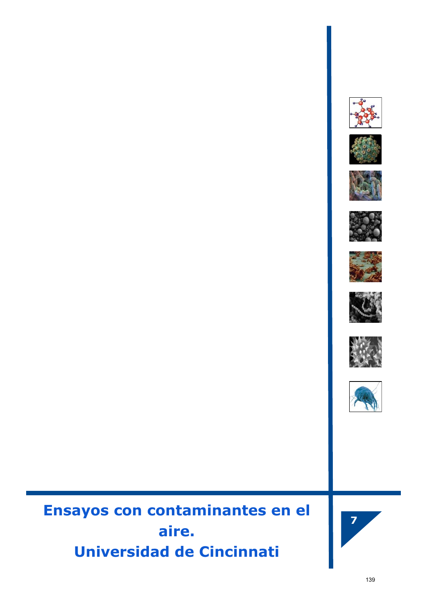















# **Ensayos con contaminantes en el aire. Universidad de Cincinnati**

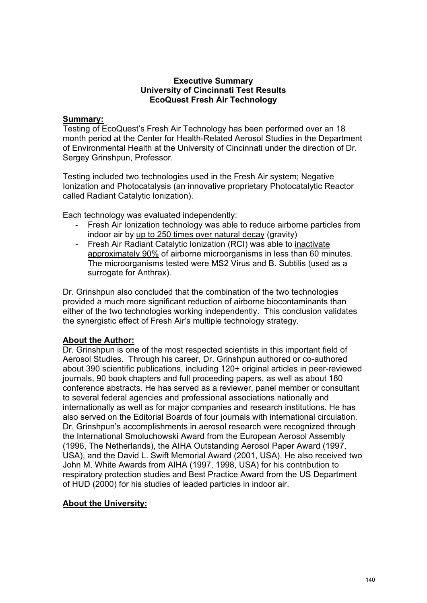#### **Executive Summary University of Cincinnati Test Results EcoQuest Fresh Air Technology**

#### **Summary:**

Testing of EcoQuest's Fresh Air Technology has been performed over an 18 month period at the Center for Health-Related Aerosol Studies in the Department of Environmental Health at the University of Cincinnati under the direction of Dr. Sergey Grinshpun, Professor.

Testing included two technologies used in the Fresh Air system; Negative Ionization and Photocatalysis (an innovative proprietary Photocatalytic Reactor called Radiant Catalytic Ionization).

Each technology was evaluated independently:

- Fresh Air Ionization technology was able to reduce airborne particles from indoor air by up to 250 times over natural decay (gravity)
- Fresh Air Radiant Catalytic Ionization (RCI) was able to inactivate approximately 90% of airborne microorganisms in less than 60 minutes. The microorganisms tested were MS2 Virus and B. Subtilis (used as a surrogate for Anthrax).

Dr. Grinshpun also concluded that the combination of the two technologies provided a much more significant reduction of airborne biocontaminants than either of the two technologies working independently. This conclusion validates the synergistic effect of Fresh Air's multiple technology strategy.

## **About the Author:**

Dr. Grinshpun is one of the most respected scientists in this important field of Aerosol Studies. Through his career, Dr. Grinshpun authored or co-authored about 390 scientific publications, including 120+ original articles in peer-reviewed journals, 90 book chapters and full proceeding papers, as well as about 180 conference abstracts. He has served as a reviewer, panel member or consultant to several federal agencies and professional associations nationally and internationally as well as for major companies and research institutions. He has also served on the Editorial Boards of four journals with international circulation. Dr. Grinshpun's accomplishments in aerosol research were recognized through the International Smoluchowski Award from the European Aerosol Assembly (1996, The Netherlands), the AIHA Outstanding Aerosol Paper Award (1997, USA), and the David L. Swift Memorial Award (2001, USA). He also received two John M. White Awards from AIHA (1997, 1998, USA) for his contribution to respiratory protection studies and Best Practice Award from the US Department of HUD (2000) for his studies of leaded particles in indoor air.

## **About the University:**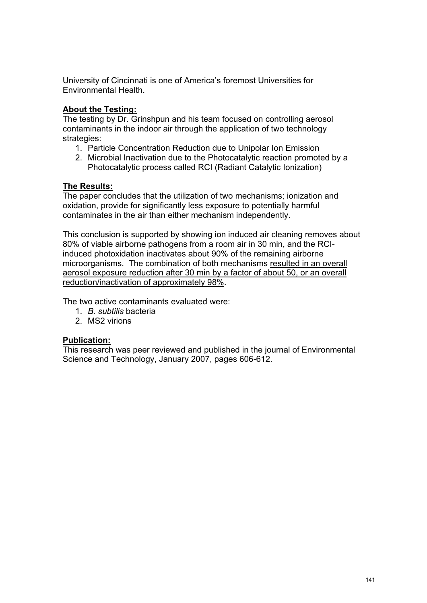University of Cincinnati is one of America's foremost Universities for Environmental Health.

## **About the Testing:**

The testing by Dr. Grinshpun and his team focused on controlling aerosol contaminants in the indoor air through the application of two technology strategies:

- 1. Particle Concentration Reduction due to Unipolar Ion Emission
- 2. Microbial Inactivation due to the Photocatalytic reaction promoted by a Photocatalytic process called RCI (Radiant Catalytic Ionization)

## **The Results:**

The paper concludes that the utilization of two mechanisms; ionization and oxidation, provide for significantly less exposure to potentially harmful contaminates in the air than either mechanism independently.

This conclusion is supported by showing ion induced air cleaning removes about 80% of viable airborne pathogens from a room air in 30 min, and the RCIinduced photoxidation inactivates about 90% of the remaining airborne microorganisms. The combination of both mechanisms resulted in an overall aerosol exposure reduction after 30 min by a factor of about 50, or an overall reduction/inactivation of approximately 98%.

The two active contaminants evaluated were:

- 1. *B. subtilis* bacteria
- 2. MS2 virions

## **Publication:**

This research was peer reviewed and published in the journal of Environmental Science and Technology, January 2007, pages 606-612.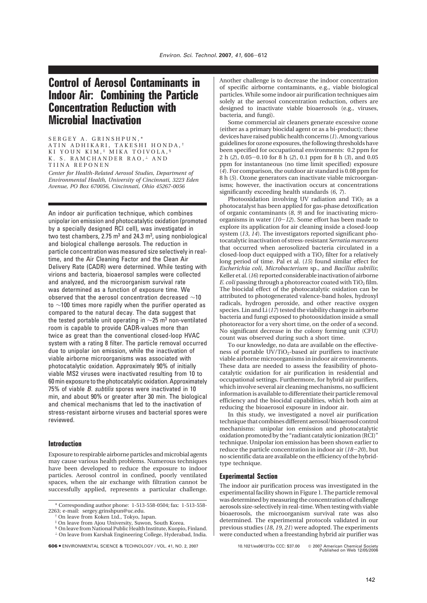## **Control of Aerosol Contaminants in Indoor Air: Combining the Particle Concentration Reduction with Microbial Inactivation**

SERGEY A. GRINSHPUN,\* ATIN ADHIKARI, TAKESHI HONDA, † KI YOUN KIM, ‡ MIKA TOIVOLA, § K. S. RAMCHANDER RAO, ⊥AND TIINA REPONEN

*Center for Health-Related Aerosol Studies, Department of Environmental Health, University of Cincinnati, 3223 Eden Avenue, PO Box 670056, Cincinnati, Ohio 45267-0056*

An indoor air purification technique, which combines unipolar ion emission and photocatalytic oxidation (promoted by a specially designed RCI cell), was investigated in two test chambers, 2.75  $\text{m}^{3}$  and 24.3  $\text{m}^{3}$ , using nonbiological and biological challenge aerosols. The reduction in particle concentration was measured size selectively in realtime, and the Air Cleaning Factor and the Clean Air Delivery Rate (CADR) were determined. While testing with virions and bacteria, bioaerosol samples were collected and analyzed, and the microorganism survival rate was determined as a function of exposure time. We observed that the aerosol concentration decreased ∼10 to ∼100 times more rapidly when the purifier operated as compared to the natural decay. The data suggest that the tested portable unit operating in  $\sim$ 25 m<sup>3</sup> non-ventilated room is capable to provide CADR-values more than twice as great than the conventional closed-loop HVAC system with a rating 8 filter. The particle removal occurred due to unipolar ion emission, while the inactivation of viable airborne microorganisms was associated with photocatalytic oxidation. Approximately 90% of initially viable MS2 viruses were inactivated resulting from 10 to 60 min exposure to the photocatalytic oxidation. Approximately 75% of viable B. subtilis spores were inactivated in 10 min, and about 90% or greater after 30 min. The biological and chemical mechanisms that led to the inactivation of stress-resistant airborne viruses and bacterial spores were reviewed.

#### **Introduction**

Exposure to respirable airborne particles and microbial agents may cause various health problems. Numerous techniques have been developed to reduce the exposure to indoor particles. Aerosol control in confined, poorly ventilated spaces, when the air exchange with filtration cannot be successfully applied, represents a particular challenge.

Another challenge is to decrease the indoor concentration of specific airborne contaminants, e.g., viable biological particles. While some indoor air purification techniques aim solely at the aerosol concentration reduction, others are designed to inactivate viable bioaerosols (e.g., viruses, bacteria, and fungi).

Some commercial air cleaners generate excessive ozone (either as a primary biocidal agent or as a bi-product); these devices have raised public health concerns (*1*). Among various guidelines for ozone exposures, the following thresholds have been specified for occupational environments: 0.2 ppm for 2h(*2*), 0.05-0.10 for8h(*2*), 0.1 ppm for 8 h (*3*), and 0.05 ppm for instantaneous (no time limit specified) exposure (*4*). For comparison, the outdoor air standard is 0.08 ppm for 8h(*5*). Ozone generators can inactivate viable microorganisms; however, the inactivation occurs at concentrations significantly exceeding health standards (*6*, *7*).

Photooxidation involving UV radiation and  $TiO<sub>2</sub>$  as a photocatalyst has been applied for gas-phase detoxification of organic contaminants (*8*, *9*) and for inactivating microorganisms in water (*10*-*12*). Some effort has been made to explore its application for air cleaning inside a closed-loop system (*13*, *14*). The investigators reported significant photocatalytic inactivation of stress-resistant *Serratia marcesens* that occurred when aerosolized bacteria circulated in a closed-loop duct equipped with a  $TiO<sub>2</sub>$  filter for a relatively long period of time. Pal et al. (*15*) found similar effect for *Escherichia coli*, *Microbacterium* sp., and *Bacillus subtilis*; Keller et al. (16) reported considerable inactivation of airborne *E. coli* passing through a photoreactor coated with TiO<sub>2</sub> film. The biocidal effect of the photocatalytic oxidation can be attributed to photogenerated valence-band holes, hydroxyl radicals, hydrogen peroxide, and other reactive oxygen species. Lin and Li (*17*) tested the viability change in airborne bacteria and fungi exposed to photooxidation inside a small photoreactor for a very short time, on the order of a second. No significant decrease in the colony forming unit (CFU) count was observed during such a short time.

To our knowledge, no data are available on the effectiveness of portable UV/TiO<sub>2</sub>-based air purifiers to inactivate viable airborne microorganisms in indoor air environments. These data are needed to assess the feasibility of photocatalytic oxidation for air purification in residential and occupational settings. Furthermore, for hybrid air purifiers, which involve several air cleaning mechanisms, no sufficient information is available to differentiate their particle removal efficiency and the biocidal capabilities, which both aim at reducing the bioaerosol exposure in indoor air.

In this study, we investigated a novel air purification technique that combines different aerosol/bioaerosol control mechanisms: unipolar ion emission and photocatalytic oxidation promoted by the "radiant catalyticionization (RCI)" technique. Unipolar ion emission has been shown earlier to reduce the particle concentration in indoor air (*18*-*20*), but no scientific data are available on the efficiency of the hybridtype technique.

#### **Experimental Section**

The indoor air purification process was investigated in the experimental facility shown in Figure 1. The particle removal was determined bymeasuring the concentration of challenge aerosols size-selectively in real-time.When testing with viable bioaerosols, the microorganism survival rate was also determined. The experimental protocols validated in our previous studies (*18*, *19*, *21*) were adopted. The experiments were conducted when a freestanding hybrid air purifier was

© 2007 American Chemical Society<br>Published on Web 12/05/2006

<sup>\*</sup> Corresponding author phone: 1-513-558-0504; fax: 1-513-558- 2263; e-mail: sergey.grinshpun@uc.edu.

<sup>†</sup> On leave from Koken Ltd., Tokyo, Japan.

<sup>‡</sup> On leave from Ajou University, Suwon, South Korea.

<sup>§</sup> On leave from National Public Health Institute, Kuopio, Finland.

<sup>⊥</sup> On leave from Karshak Engineering College, Hyderabad, India.

**<sup>606</sup>** ■ ENVIRONMENTAL SCIENCE & TECHNOLOGY / VOL. 41, NO. 2, 2007 10.1021/es061373o CCC: \$37.00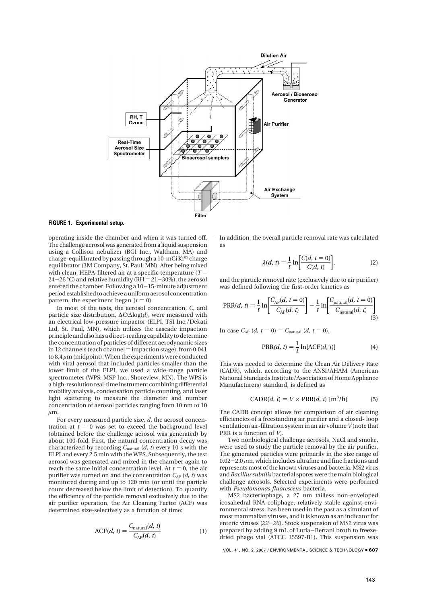

**FIGURE 1. Experimental setup.**

operating inside the chamber and when it was turned off. The challenge aerosol was generated from a liquid suspension using a Collison nebulizer (BGI Inc., Waltham, MA) and charge-equilibrated by passing through a 10-mCi Kr<sup>85</sup> charge equilibrator (3M Company, St. Paul, MN). After being mixed with clean, HEPA-filtered air at a specific temperature  $(T =$ 24-26 °C) and relative humidity ( $\overrightarrow{RH} = 21-30\%$ ), the aerosol entered the chamber. Following a 10-15-minute adjustment period established to achieve a uniform aerosol concentration pattern, the experiment began  $(t = 0)$ .

In most of the tests, the aerosol concentration, *C*, and particle size distribution, Δ*C/*Δlog(*d*), were measured with an electrical low-pressure impactor (ELPI, TSI Inc./Dekati Ltd, St. Paul, MN), which utilizes the cascade impaction principle and also has a direct-reading capability to determine the concentration of particles of different aerodynamic sizes in 12 channels (each channel  $=$  impaction stage), from 0.041 to  $8.4 \mu$ m (midpoint). When the experiments were conducted with viral aerosol that included particles smaller than the lower limit of the ELPI, we used a wide-range particle spectrometer (WPS; MSP Inc., Shoreview, MN). The WPS is a high-resolution real-timeinstrument combining differential mobility analysis, condensation particle counting, and laser light scattering to measure the diameter and number concentration of aerosol particles ranging from 10 nm to 10  $\mu$ m.

For every measured particle size, *d*, the aerosol concentration at  $t = 0$  was set to exceed the background level (obtained before the challenge aerosol was generated) by about 100-fold. First, the natural concentration decay was characterized by recording *C*natural (*d, t*) every 10 s with the ELPI and every 2.5 min with the WPS. Subsequently, the test aerosol was generated and mixed in the chamber again to reach the same initial concentration level. At  $t = 0$ , the air purifier was turned on and the concentration  $C_{AP}$  (*d, t*) was monitored during and up to 120 min (or until the particle count decreased below the limit of detection). To quantify the efficiency of the particle removal exclusively due to the air purifier operation, the Air Cleaning Factor (ACF) was determined size-selectively as a function of time:

$$
\text{ACF}(d, t) = \frac{C_{\text{natural}}(d, t)}{C_{\text{AP}}(d, t)}\tag{1}
$$

In addition, the overall particle removal rate was calculated as

$$
\lambda(d, t) = \frac{1}{t} \ln \left[ \frac{C(d, t = 0)}{C(d, t)} \right],\tag{2}
$$

and the particle removal rate (exclusively due to air purifier) was defined following the first-order kinetics as

$$
PRR(d, t) = \frac{1}{t} \ln \left[ \frac{C_{AP}(d, t=0)}{C_{AP}(d, t)} \right] - \frac{1}{t} \ln \left[ \frac{C_{\text{natural}}(d, t=0)}{C_{\text{natural}}(d, t)} \right]
$$
(3)

In case  $C_{AP}$  (*d, t* = 0) =  $C_{natural}$  (*d, t* = 0),

$$
PRR(d, t) = \frac{1}{t} \ln[ACF(d, t)] \tag{4}
$$

This was needed to determine the Clean Air Delivery Rate (CADR), which, according to the ANSI/AHAM (American National Standards Institute/Association of Home Appliance Manufacturers) standard, is defined as

$$
CADR(d, t) = V \times PRR(d, t) [m3/h]
$$
 (5)

The CADR concept allows for comparison of air cleaning efficiencies of a freestanding air purifier and a closed- loop ventilation/air-filtration system in an air volume *V* (note that PRR is a function of *V*).

Two nonbiological challenge aerosols, NaCl and smoke, were used to study the particle removal by the air purifier. The generated particles were primarily in the size range of  $0.02 - 2.0 \mu m$ , which includes ultrafine and fine fractions and represents most of the known viruses and bacteria. MS2 virus and*Bacillus subtilis*bacterial spores were the main biological challenge aerosols. Selected experiments were performed with *Pseudomonas fluorescens* bacteria.

MS2 bacteriophage, a 27 nm tailless non-enveloped icosahedral RNA-coliphage, relatively stable against environmental stress, has been used in the past as a simulant of most mammalian viruses, and it is known as an indicator for enteric viruses (*22*-*26*). Stock suspension of MS2 virus was prepared by adding 9 mL of Luria-Bertani broth to freezedried phage vial (ATCC 15597-B1). This suspension was

VOL. 41, NO. 2, 2007 / ENVIRONMENTAL SCIENCE & TECHNOLOGY **= 607**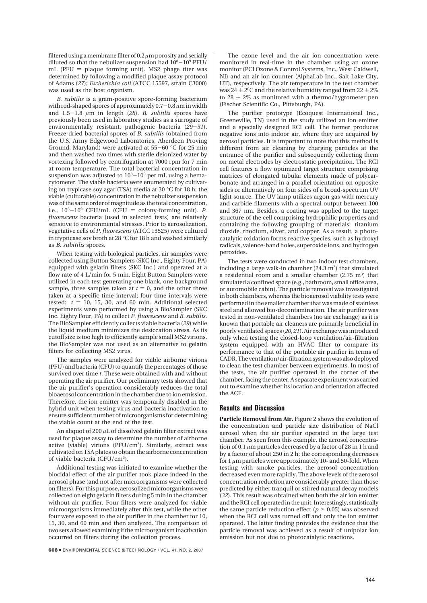filtered using a membrane filter of  $0.2 \mu$ m porosity and serially diluted so that the nebulizer suspension had  $10^8-10^9$  PFU/ mL ( $PFU =$  plaque forming unit). MS2 phage titer was determined by following a modified plaque assay protocol of Adams (*27*); *Escherichia coli* (ATCC 15597, strain C3000) was used as the host organism.

*B. subtilis* is a gram-positive spore-forming bacterium with rod-shaped spores of approximately  $0.7-0.8 \mu m$  in width and 1.5-1.8 μm in length (*28*). *B. subtilis* spores have previously been used in laboratory studies as a surrogate of environmentally resistant, pathogenic bacteria (*29*-*31*). Freeze-dried bacterial spores of *B. subtilis* (obtained from the U.S. Army Edgewood Laboratories, Aberdeen Proving Ground, Maryland) were activated at 55-60 °C for 25 min and then washed two times with sterile deionized water by vortexing followed by centrifugation at 7000 rpm for 7 min at room temperature. The total bacterial concentration in suspension was adjusted to  $10^8-10^9$  per mL using a hemacytometer. The viable bacteria were enumerated by cultivating on trypicase soy agar (TSA) media at 30 °C for 18 h; the viable (culturable) concentration in the nebulizer suspension was of the same order of magnitude as the total concentration, i.e.,  $10^8 - 10^9$  CFU/mL (CFU = colony-forming unit). *P*. *fluorescens* bacteria (used in selected tests) are relatively sensitive to environmental stresses. Prior to aerosolization, vegetative cells of *P. fluorescens* (ATCC 13525) were cultured in trypticase soy broth at 28 °C for 18 h and washed similarly as *B. subitilis* spores.

When testing with biological particles, air samples were collected using Button Samplers (SKC Inc., Eighty Four, PA) equipped with gelatin filters (SKC Inc.) and operated at a flow rate of 4 L/min for 5 min. Eight Button Samplers were utilized in each test generating one blank, one background sample, three samples taken at  $t = 0$ , and the other three taken at a specific time interval; four time intervals were tested:  $t = 10$ , 15, 30, and 60 min. Additional selected experiments were performed by using a BioSampler (SKC Inc. Eighty Four, PA) to collect *P. fluorescens* and *B. subtilis*. The BioSampler efficiently collects viable bacteria (*29*) while the liquid medium minimizes the desiccation stress. As its cutoff size is too high to efficiently sample small MS2 virions, the BioSampler was not used as an alternative to gelatin filters for collecting MS2 virus.

The samples were analyzed for viable airborne virions (PFU) and bacteria (CFU) to quantify the percentages of those survived over time *t*. These were obtained with and without operating the air purifier. Our preliminary tests showed that the air purifier's operation considerably reduces the total bioaerosol concentration in the chamber due to ion emission. Therefore, the ion emitter was temporarily disabled in the hybrid unit when testing virus and bacteria inactivation to ensure sufficient number of microorganisms for determining the viable count at the end of the test.

An aliquot of 200  $\mu$ L of dissolved gelatin filter extract was used for plaque assay to determine the number of airborne active (viable) virions (PFU/cm<sup>3</sup>). Similarly, extract was cultivated on TSA plates to obtain the airborne concentration of viable bacteria (CFU/cm3).

Additional testing was initiated to examine whether the biocidal effect of the air purifier took place indeed in the aerosol phase (and not after microorganisms were collected on filters). For this purpose, aerosolized microorganisms were collected on eight gelatin filters during 5 min in the chamber without air purifier. Four filters were analyzed for viable microorganisms immediately after this test, while the other four were exposed to the air purifier in the chamber for 10, 15, 30, and 60 min and then analyzed. The comparison of two sets allowed examining if themicroorganism inactivation occurred on filters during the collection process.

**608 ENVIRONMENTAL SCIENCE & TECHNOLOGY / VOL. 41, NO. 2, 2007** 

The ozone level and the air ion concentration were monitored in real-time in the chamber using an ozone monitor (PCI Ozone & Control Systems, Inc., West Caldwell, NJ) and an air ion counter (AlphaLab Inc., Salt Lake City, UT), respectively. The air temperature in the test chamber was 24  $\pm$  2°C and the relative humidity ranged from 22  $\pm$  2% to 28  $\pm$  2% as monitored with a thermo/hygrometer pen (Fischer Scientific Co., Pittsburgh, PA).

The purifier prototype (Ecoquest International Inc., Greeneville, TN) used in the study utilized an ion emitter and a specially designed RCI cell. The former produces negative ions into indoor air, where they are acquired by aerosol particles. It is important to note that this method is different from air cleaning by charging particles at the entrance of the purifier and subsequently collecting them on metal electrodes by electrostatic precipitation. The RCI cell features a flow optimized target structure comprising matrices of elongated tubular elements made of polycarbonate and arranged in a parallel orientation on opposite sides or alternatively on four sides of a broad-spectrum UV light source. The UV lamp utilizes argon gas with mercury and carbide filaments with a spectral output between 100 and 367 nm. Besides, a coating was applied to the target structure of the cell comprising hydrophilic properties and containing the following grouping of materials: titanium dioxide, rhodium, silver, and copper. As a result, a photocatalytic oxidation forms reactive species, such as hydroxyl radicals, valence-band holes, superoxide ions, and hydrogen peroxides.

The tests were conducted in two indoor test chambers, including a large walk-in chamber  $(24.3 \text{ m}^3)$  that simulated a residential room and a smaller chamber  $(2.75 \text{ m}^3)$  that simulated a confined space (e.g., bathroom, small office area, or automobile cabin). The particle removal was investigated in both chambers, whereas the bioaerosol viability tests were performed in the smaller chamber that was made of stainless steel and allowed bio-decontamination. The air purifier was tested in non-ventilated chambers (no air exchange) as it is known that portable air cleaners are primarily beneficial in poorly ventilated spaces (*20*, *21*). Air exchange wasintroduced only when testing the closed-loop ventilation/air-filtration system equipped with an HVAC filter to compare its performance to that of the portable air purifier in terms of CADR. The ventilation/air-filtration system was also deployed to clean the test chamber between experiments. In most of the tests, the air purifier operated in the corner of the chamber, facing the center. A separate experiment was carried out to examine whether its location and orientation affected the ACF.

#### **Results and Discussion**

**Particle Removal from Air.** Figure 2 shows the evolution of the concentration and particle size distribution of NaCl aerosol when the air purifier operated in the large test chamber. As seen from this example, the aerosol concentration of 0.1  $\mu$ m particles decreased by a factor of 28 in 1 h and by a factor of about 250 in 2 h; the corresponding decreases for  $1 \mu$ m particles were approximately 10- and 50-fold. When testing with smoke particles, the aerosol concentration decreased even more rapidly. The above levels of the aerosol concentration reduction are considerably greater than those predicted by either tranquil or stirred natural decay models (*32*). This result was obtained when both the air ion emitter and the RCI cell operated in the unit. Interestingly, statistically the same particle reduction effect ( $p > 0.05$ ) was observed when the RCI cell was turned off and only the ion emitter operated. The latter finding provides the evidence that the particle removal was achieved as a result of unipolar ion emission but not due to photocatalytic reactions.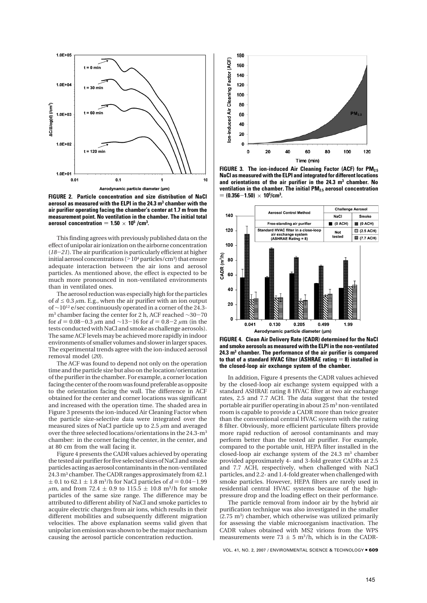

**FIGURE 2. Particle concentration and size distribution of NaCl aerosol as measured with the ELPI in the 24.3 m3 chamber with the air purifier operating facing the chamber's center at 1.7 m from the measurement point. No ventilation in the chamber. The initial total aerosol concentration**  $= 1.50 \times 10^5$  /cm<sup>3</sup>.

This finding agrees with previously published data on the effect of unipolar air ionization on the airborne concentration (*18*-*21*). The air purification is particularly efficient at higher initial aerosol concentrations ( $>10<sup>4</sup>$  particles/cm<sup>3</sup>) that ensure adequate interaction between the air ions and aerosol particles. As mentioned above, the effect is expected to be much more pronounced in non-ventilated environments than in ventilated ones.

The aerosol reduction was especially high for the particles of  $d \le 0.3 \mu$ m. E.g., when the air purifier with an ion output of ∼1012 e/sec continuously operated in a corner of the 24.3 m3 chamber facing the center for 2 h, ACF reached ∼30-70 for *d* = 0.08-0.3 μm and ∼13-16 for *d* = 0.8-2 μm (in the tests conducted with NaCl and smoke as challenge aerosols). The same ACF levels may be achieved more rapidly in indoor environments of smaller volumes and slower in larger spaces. The experimental trends agree with the ion-induced aerosol removal model (*20*).

The ACF was found to depend not only on the operation time and the particle size but also on the location/orientation of the purifier in the chamber. For example, a corner location facing the center of the room was found preferable as opposite to the orientation facing the wall. The difference in ACF obtained for the center and corner locations was significant and increased with the operation time. The shaded area in Figure 3 presents the ion-induced Air Cleaning Factor when the particle size-selective data were integrated over the measured sizes of NaCl particle up to 2.5  $\mu$ m and averaged over the three selected locations/orientations in the 24.3-m3 chamber: in the corner facing the center, in the center, and at 80 cm from the wall facing it.

Figure 4 presents the CADR values achieved by operating the tested air purifier for five selected sizes of NaCl and smoke particles acting as aerosol contaminantsin the non-ventilated 24.3 m<sup>3</sup> chamber. The CADR ranges approximately from 42.1  $\pm$  0.1 to 62.1  $\pm$  1.8 m<sup>3</sup>/h for NaCl particles of *d* = 0.04-1.99 μm, and from 72.4  $\pm$  0.9 to 115.5  $\pm$  10.8 m<sup>3</sup>/h for smoke particles of the same size range. The difference may be attributed to different ability of NaCl and smoke particles to acquire electric charges from air ions, which results in their different mobilities and subsequently different migration velocities. The above explanation seems valid given that unipolar ion emission was shown to be themajormechanism causing the aerosol particle concentration reduction.



**FIGURE 3. The ion-induced Air Cleaning Factor (ACF) for PM2.5 NaCl as measured with the ELPI and integrated for different locations and orientations of the air purifier in the 24.3 m3 chamber. No ventilation in the chamber. The initial PM2.5 aerosol concentration**  $= (0.356-1.50) \times 10^5/\text{cm}^3.$ 



**FIGURE 4. Clean Air Delivery Rate (CADR) determined for the NaCl and smoke aerosols as measured with the ELPI in the non-ventilated 24.3 m3 chamber. The performance of the air purifier is compared** to that of a standard HVAC filter (ASHRAE rating  $= 8$ ) installed in **the closed-loop air exchange system of the chamber.**

In addition, Figure 4 presents the CADR values achieved by the closed-loop air exchange system equipped with a standard ASHRAE rating 8 HVAC filter at two air exchange rates, 2.5 and 7.7 ACH. The data suggest that the tested portable air purifier operating in about  $25 \text{ m}^3$  non-ventilated room is capable to provide a CADR more than twice greater than the conventional central HVAC system with the rating 8 filter. Obviously, more efficient particulate filters provide more rapid reduction of aerosol contaminants and may perform better than the tested air purifier. For example, compared to the portable unit, HEPA filter installed in the closed-loop air exchange system of the 24.3 m<sup>3</sup> chamber provided approximately 4- and 3-fold greater CADRs at 2.5 and 7.7 ACH, respectively, when challenged with NaCl particles, and 2.2- and 1.4-fold greater when challenged with smoke particles. However, HEPA filters are rarely used in residential central HVAC systems because of the highpressure drop and the loading effect on their performance.

The particle removal from indoor air by the hybrid air purification technique was also investigated in the smaller  $(2.75 \text{ m}^3)$  chamber, which otherwise was utilized primarily for assessing the viable microorganism inactivation. The CADR values obtained with MS2 virions from the WPS measurements were 73  $\pm$  5 m<sup>3</sup>/h, which is in the CADR-

VOL. 41, NO. 2, 2007 / ENVIRONMENTAL SCIENCE & TECHNOLOGY **= 609**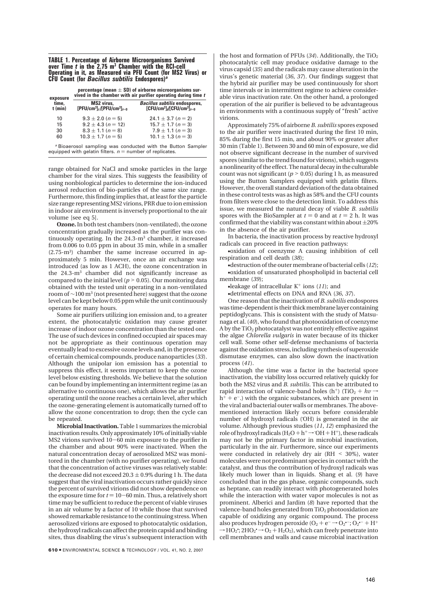**TABLE 1. Percentage of Airborne Microorganisms Survived over Time** *t* **in the 2.75 m3 Chamber with the RCI-cell Operating in it, as Measured via PFU Count (for MS2 Virus) or CFU Count (for** *Bacillus subtilis* **Endospores)***<sup>a</sup>*

|                                                              | percentage (mean $\pm$ SD) of airborne microorganisms sur- |  |
|--------------------------------------------------------------|------------------------------------------------------------|--|
| ived in the chamber with air nuritier enerating during time. |                                                            |  |

| exposure<br>time.<br>$t$ (min) | vived in the chamber with air purifier operating during time t             |                                                                                                      |  |  |  |
|--------------------------------|----------------------------------------------------------------------------|------------------------------------------------------------------------------------------------------|--|--|--|
|                                | <b>MS2 virus.</b><br>$[PFU/cm^3]$ , /[PFU/cm <sup>3</sup> ] <sub>t=0</sub> | <i>Bacillus subtilis</i> endospores,<br>[CFU/cm <sup>3</sup> ]/[CFU/cm <sup>3</sup> ] <sub>t=0</sub> |  |  |  |
| 10                             | $9.3 \pm 2.0$ (n = 5)                                                      | $24.1 \pm 3.7$ (n = 2)                                                                               |  |  |  |
| 15                             | $9.2 \pm 4.3$ (n = 12)                                                     | $15.7 \pm 1.7$ (n = 3)                                                                               |  |  |  |
| 30                             | $8.3 \pm 1.1$ (n = 8)                                                      | $7.9 \pm 1.1$ (n = 3)                                                                                |  |  |  |
| 60                             | $10.3 \pm 1.7$ (n = 5)                                                     | $10.1 \pm 1.3$ (n = 3)                                                                               |  |  |  |
|                                |                                                                            | 8 Discovered concelled that conditated this dee Distance Concela                                     |  |  |  |

<sup>a</sup> Bioaerosol sampling was conducted with the Button Sampler equipped with gelatin filters.  $n =$  number of replicates.

range obtained for NaCl and smoke particles in the large chamber for the viral sizes. This suggests the feasibility of using nonbiological particles to determine the ion-induced aerosol reduction of bio-particles of the same size range. Furthermore, this finding implies that, at least for the particle size range representing MS2 virions, PRR due to ion emission in indoor air environment is inversely proportional to the air volume [see eq 5].

**Ozone.**In both test chambers (non-ventilated), the ozone concentration gradually increased as the purifier was continuously operating. In the 24.3-m3 chamber, it increased from 0.006 to 0.05 ppm in about 35 min, while in a smaller  $(2.75\text{-}m^3)$  chamber the same increase occurred in approximately 5 min. However, once an air exchange was introduced (as low as 1 ACH), the ozone concentration in the 24.3-m3 chamber did not significantly increase as compared to the initial level ( $p > 0.05$ ). Our monitoring data obtained with the tested unit operating in a non-ventilated room of ∼100 m3 (not presented here) suggest that the ozone level can be kept below 0.05 ppm while the unit continuously operates for many hours.

Some air purifiers utilizing ion emission and, to a greater extent, the photocatalytic oxidation may cause greater increase of indoor ozone concentration than the tested one. The use of such devices in confined occupied air spaces may not be appropriate as their continuous operation may eventually lead to excessive ozone levels and, in the presence of certain chemical compounds, produce nanoparticles (*33*). Although the unipolar ion emission has a potential to suppress this effect, it seems important to keep the ozone level below existing thresholds. We believe that the solution can be found by implementing an intermittent regime (as an alternative to continuous one), which allows the air purifier operating until the ozone reaches a certain level, after which the ozone-generating element is automatically turned off to allow the ozone concentration to drop; then the cycle can be repeated.

**Microbial Inactivation.**Table 1 summarizes themicrobial inactivation results. Only approximately 10% of initially viable MS2 virions survived 10-60 min exposure to the purifier in the chamber and about 90% were inactivated. When the natural concentration decay of aerosolized MS2 was monitored in the chamber (with no purifier operating), we found that the concentration of active viruses was relatively stable: the decrease did not exceed  $20.3 \pm 0.9\%$  during 1 h. The data suggest that the viral inactivation occurs rather quickly since the percent of survived virions did not show dependence on the exposure time for  $t = 10-60$  min. Thus, a relatively short time may be sufficient to reduce the percent of viable viruses in an air volume by a factor of 10 while those that survived showed remarkable resistance to the continuing stress.When aerosolized virions are exposed to photocatalytic oxidation, the hydroxyl radicals can affect the protein capsid and binding sites, thus disabling the virus's subsequent interaction with

**610 ENVIRONMENTAL SCIENCE & TECHNOLOGY / VOL. 41, NO. 2, 2007** 

the host and formation of PFUs (34). Additionally, the TiO<sub>2</sub> photocatalytic cell may produce oxidative damage to the virus capsid (*35*) and the radicals may cause alteration in the virus's genetic material (*36*, *37*). Our findings suggest that the hybrid air purifier may be used continuously for short time intervals or in intermittent regime to achieve considerable virus inactivation rate. On the other hand, a prolonged operation of the air purifier is believed to be advantageous in environments with a continuous supply of "fresh" active virions.

Approximately 75% of airborne *B. subtilis* spores exposed to the air purifier were inactivated during the first 10 min, 85% during the first 15 min, and about 90% or greater after 30 min (Table 1). Between 30 and 60 min of exposure, we did not observe significant decrease in the number of survived spores (similar to the trend found for virions), which suggests a nonlinearity of the effect. The natural decayin the culturable count was not significant ( $p > 0.05$ ) during 1 h, as measured using the Button Samplers equipped with gelatin filters. However, the overall standard deviation of the data obtained in these control tests was as high as 58% and the CFU counts from filters were close to the detection limit. To address this issue, we measured the natural decay of viable *B. subtilis* spores with the BioSampler at  $t = 0$  and at  $t = 2$  h. It was confirmed that the viability was constant within about  $\pm 20\%$ in the absence of the air purifier.

In bacteria, the inactivation process by reactive hydroxyl radicals can proceed in five reaction pathways:

•oxidation of coenzyme A causing inhibition of cell respiration and cell death (*38*);

•destruction of the outer membrane of bacterial cells (*12*); •oxidation of unsaturated phospholipid in bacterial cell membrane (*39*);

•leakage of intracellular K<sup>+</sup> ions (*11*); and

•detrimental effects on DNA and RNA (*36*, *37*).

One reason that the inactivation of *B. subtilis* endospores was time-dependent is their thick membrane layer containing peptidoglycans. This is consistent with the study of Matsunaga et al. (*40*), who found that photooxidation of coenzyme A by the TiO2 photocatalyst was not entirely effective against the algae *Chlorella vulgaris* in water because of its thicker cell wall. Some other self-defense mechanisms of bacteria against the oxidation stress, including synthesis of superoxide dismutase enzymes, can also slow down the inactivation process (*41*).

Although the time was a factor in the bacterial spore inactivation, the viability loss occurred relatively quickly for both the MS2 virus and *B. subtilis*. This can be attributed to rapid interaction of valence-band holes (h<sup>+</sup>) (TiO<sub>2</sub> +  $hv$  $h<sup>+</sup> + e<sup>-</sup>$ .) with the organic substances, which are present in the viral and bacterial outer walls or membranes. The abovementioned interaction likely occurs before considerable number of hydroxyl radicals ('OH) is generated in the air volume. Although previous studies (*11*, *12*) emphasized the role of hydroxyl radicals  $(H_2O + h^+ \rightarrow OH + H^+)$ , these radicals may not be the primary factor in microbial inactivation, particularly in the air. Furthermore, since our experiments were conducted in relatively dry air (RH < 30%), water molecules were not predominant species in contact with the catalyst, and thus the contribution of hydroxyl radicals was likely much lower than in liquids. Shang et al. (*9*) have concluded that in the gas phase, organic compounds, such as heptane, can readily interact with photogenerated holes while the interaction with water vapor molecules is not as prominent. Alberici and Jardim (*8*) have reported that the valence-band holes generated from TiO<sub>2</sub> photooxidation are capable of oxidizing any organic compound. The process also produces hydrogen peroxide  $(O_2 + e^- \rightarrow O_2 \rightarrow C_2 \rightarrow H^+$  $\rightarrow$  HO<sub>2</sub><sup>\*</sup>; 2HO<sub>2</sub><sup>\*</sup> $\rightarrow$  O<sub>2</sub> + H<sub>2</sub>O<sub>2</sub>), which can freely penetrate into cell membranes and walls and cause microbial inactivation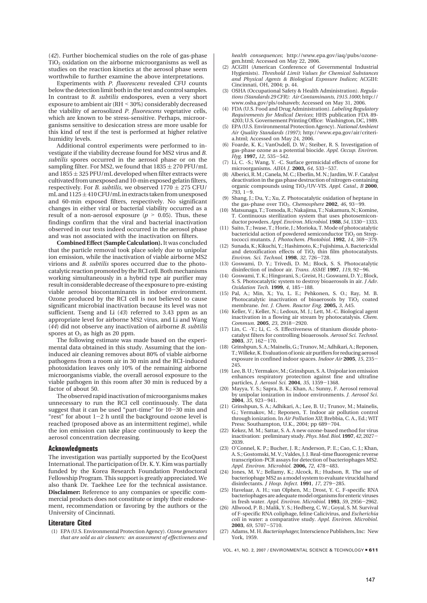(*42*). Further biochemical studies on the role of gas-phase  $TiO<sub>2</sub>$  oxidation on the airborne microorganisms as well as studies on the reaction kinetics at the aerosol phase seem worthwhile to further examine the above interpretations.

Experiments with *P. fluorescens* revealed CFU counts below the detection limit both in the test and control samples. In contrast to *B. subtilis* endospores, even a very short exposure to ambient air (RH < 30%) considerably decreased the viability of aerosolized *P. fluorescens* vegetative cells, which are known to be stress-sensitive. Perhaps, microorganisms sensitive to desiccation stress are more usable for this kind of test if the test is performed at higher relative humidity levels.

Additional control experiments were performed to investigate if the viability decrease found for MS2 virus and *B. subtilis* spores occurred in the aerosol phase or on the sampling filter. For MS2, we found that  $1835 \pm 270$  PFU/mL and  $1855 \pm 325$  PFU/mL developed when filter extracts were cultivated from unexposed and 10-min exposed gelatin filters, respectively. For *B. subtilis*, we observed  $1770 \pm 275$  CFU/ mL and  $1125 \pm 410$  CFU/mL in extracts taken from unexposed and 60-min exposed filters, respectively. No significant changes in either viral or bacterial viability occurred as a result of a non-aerosol exposure ( $p > 0.05$ ). Thus, these findings confirm that the viral and bacterial inactivation observed in our tests indeed occurred in the aerosol phase and was not associated with the inactivation on filters.

**Combined Effect (Sample Calculation).**It was concluded that the particle removal took place solely due to unipolar ion emission, while the inactivation of viable airborne MS2 virions and *B. subtilis* spores occurred due to the photocatalytic reaction promoted by the RCI cell. Bothmechanisms working simultaneously in a hybrid type air purifier may result in considerable decrease of the exposure to pre-existing viable aerosol biocontaminants in indoor environment. Ozone produced by the RCI cell is not believed to cause significant microbial inactivation because its level was not sufficient. Tseng and Li (*43*) referred to 3.43 ppm as an appropriate level for airborne MS2 virus, and Li and Wang (*44*) did not observe any inactivation of airborne *B. subtilis* spores at  $O<sub>3</sub>$  as high as 20 ppm.

The following estimate was made based on the experimental data obtained in this study. Assuming that the ioninduced air cleaning removes about 80% of viable airborne pathogens from a room air in 30 min and the RCI-induced photoxidation leaves only 10% of the remaining airborne microorganisms viable, the overall aerosol exposure to the viable pathogen in this room after 30 min is reduced by a factor of about 50.

The observed rapid inactivation of microorganisms makes unnecessary to run the RCI cell continuously. The data suggest that it can be used "part-time" for 10-30 min and "rest" for about 1-2 h until the background ozone level is reached (proposed above as an intermittent regime), while the ion emission can take place continuously to keep the aerosol concentration decreasing.

#### **Acknowledgments**

The investigation was partially supported by the EcoQuest International. The participation of Dr. K. Y. Kim was partially funded by the Korea Research Foundation Postdoctoral Fellowship Program. This support is greatly appreciated. We also thank Dr. Taekhee Lee for the technical assistance. **Disclaimer:** Reference to any companies or specific commercial products does not constitute or imply their endorsement, recommendation or favoring by the authors or the University of Cincinnati.

#### **Literature Cited**

(1) EPA (U.S. Environmental Protection Agency). *Ozone generators that are sold as air cleaners: an assessment of effectiveness and*

*health consequences*; http://www.epa.gov/iaq/pubs/ozonegen.html; Accessed on May 22, 2006.

- (2) ACGIH (American Conference of Governmental Industrial Hygienists). *Threshold Limit Values for Chemical Substances and Physical Agents & Biological Exposure Indices*; ACGIH: Cincinnati, OH, 2004; p. 44.
- (3) OSHA (Occupational Safety & Health Administration). *Regulations (Standards 29 CFR): Air Contaminants, 1915.1000*; http:// www.osha.gov/pls/oshaweb; Accessed on May 31, 2006.
- (4) FDA (U.S. Food and Drug Administration). *Labeling Regulatory Requirements for Medical Devices*; HHS publication FDA 89- 4203; U.S. Governement Printing Office: Washington, DC, 1989.
- (5) EPA (U.S. Environmental Protection Agency). *National Ambient Air Quality Standards (1997)*; http://www.epa.gov/air/criteria.html; Accessed on May 24, 2006.
- Foarde, K. K.; VanOsdell, D. W.; Steiber, R. S. Investigation of gas-phase ozone as a potential biocide. *Appl. Occup. Environ. Hyg.* **1997,** *12*, 535-542.
- (7) Li, C. -S.; Wang, Y. -C. Surface germicidal effects of ozone for microorganisms. *AIHA J.* **2003,** *64*, 533-537.
- (8) Alberici, R.M.; Canela,M. C.; Eberlin,M. N.; Jardim,W. F. Catalyst deactivation in the gas phase destruction of nitrogen-containing organic compounds using TiO2/UV-VIS. *Appl. Catal., B* **2000**, *793*, 1-9.
- (9) Shang, J.; Du, Y.; Xu, Z. Photocatalytic oxidation of heptane in the gas-phase over TiO<sub>2</sub>. *Chemosphere* **2002**, 46, 93-99.
- (10) Matsunaga, T.; Tomoda, R.; Nakajima, T.; Nakamura, N.; Komine, T. Continuous sterilization system that uses photosemiconductor powders. *Appl. Environ. Microbiol.* **1988**, *54*, 1330-1333.
- (11) Saito, T.; Iwase, T.; Horie, J.; Morioka, T. Mode of photocatalytic bactericidal action of powdered semiconductor TiO<sub>2</sub> on Streptococci mutants. *J. Photochem. Photobiol.* **1992**, *14*, 369-379.
- (12) Sunada, K.; Kikuchi, Y.; Hashimoto, K.; Fujishima, A. Bactericidal and detoxification effects of  $TiO<sub>2</sub>$  thin film photocatalysts. *Environ. Sci. Technol.* **1998**, *32*, 726-728.
- (13) Goswami, D. Y.; Trivedi, D. M.; Block, S. S. Photocatalytic disinfection of indoor air. *Trans. ASME* **1997**, *119*, 92-96.
- (14) Goswami, T. K.; Hingorani, S.; Greist, H.; Goswami, D. Y.; Block, S. S. Photocatalytic system to destroy bioaerosols in air. *J Adv. Oxidation Tech.* **1999**, *4*, 185-188.
- (15) Pal, A.; Min, X.; Yu, L. E.; Pehkonen, S. O.; Ray, M. B. Photocatalytic inactivation of bioaerosols by  $TiO<sub>2</sub>$  coated membrane. *Int. J. Chem. Reactor Eng.* **2005,** *3*, A45.
- (16) Keller, V.; Keller, N.; Ledoux, M. J.; Lett, M.-C. Biological agent inactivation in a flowing air stream by photocatalysis. *Chem. Commun.* **2005**, *23*, 2918-2920.
- (17) Lin, C. -Y.; Li, C. -S. Effectiveness of titanium dioxide photocatalyst filters for controlling bioaerosols. *Aerosol Sci. Technol.* **2003**, *37*, 162-170.
- (18) Grinshpun, S. A.;Mainelis, G.; Trunov,M.; Adhikari, A.; Reponen, T.;Willeke, K. Evaluation ofionic air purifiers for reducing aerosol exposure in confined indoor spaces. *Indoor Air* **2005**, *15*, 235- 245.
- (19) Lee, B. U.; Yermakov,M.; Grinshpun, S. A. Unipolar ion emission enhances respiratory protection against fine and ultrafine particles, *J. Aerosol Sci.* **2004**, *35*, 1359-1368.
- (20) Mayya, Y. S.; Sapra, B. K.; Khan, A.; Sunny, F. Aerosol removal by unipolar ionization in indoor environments. *J. Aerosol Sci.* **2004**, *35*, 923-941.
- (21) Grinshpun, S. A.; Adhikari, A.; Lee, B. U.; Trunov, M.; Mainelis, G.; Yermakov, M.; Reponen, T. Indoor air pollution control through ionization. In *Air Pollution XII;* Brebbia, C. A., Ed.; WIT Press: Southampton, U.K., 2004; pp 689-704.
- (22) Kekez, M. M.; Sattar, S. A. A new ozone-based method for virus inactivation: preliminary study.*Phys.Med. Biol.* **1997**, *42*, 2027- 2039.
- (23) O'Connel, K. P.; Bucher, J. R.; Anderson, P. E.; Cao, C. J.; Khan, A. S.; Gostomski, M. V.; Valdes, J. J. Real-time fluorogenic reverse transcription-PCR assays for detection of bacteriophages MS2. *Appl. Environ. Microbiol.* **2006,** *72*, 478-483.
- (24) Jones, M. V.; Bellamy, K.; Alcock, R.; Hudson, R. The use of bacteriophage MS2 as a model system to evaluate virucidal hand disinfectants. *J Hosp. Infect.* **1991**, *17*, 279-285.
- Havelaar, A. H.; van Olphen, M.; Drost, Y. C. F-specific RNA bacteriophages are adequatemodel organisms for enteric viruses in fresh water. *Appl. Environ. Microbiol.* **1993**, *59*, 2956-2962.
- (26) Allwood, P. B.; Malik, Y. S.; Hedberg, C. W.; Goyal, S. M. Survival of F-specific RNA coliphage, feline Calicivirus, and *Escherichia coli* in water: a comparative study. *Appl. Environ. Microbiol.* **2003**, *69*, 5707-5710.
- (27) Adams, M. H. Bacteriophages; Interscience Publishers, Inc: New York, 1959.
- VOL. 41, NO. 2, 2007 / ENVIRONMENTAL SCIENCE & TECHNOLOGY **611**